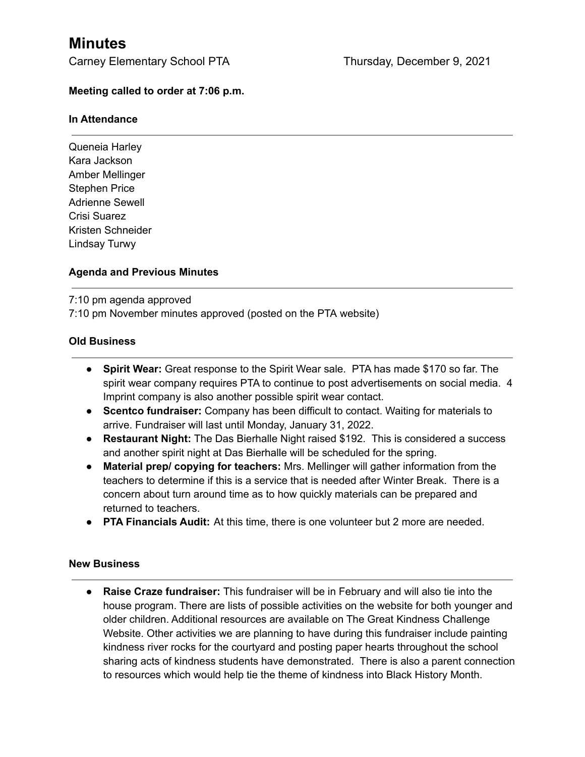# **Minutes**

Carney Elementary School PTA Thursday, December 9, 2021

## **Meeting called to order at 7:06 p.m.**

#### **In Attendance**

Queneia Harley Kara Jackson Amber Mellinger Stephen Price Adrienne Sewell Crisi Suarez Kristen Schneider Lindsay Turwy

## **Agenda and Previous Minutes**

7:10 pm agenda approved

7:10 pm November minutes approved (posted on the PTA website)

## **Old Business**

- **● Spirit Wear:** Great response to the Spirit Wear sale. PTA has made \$170 so far. The spirit wear company requires PTA to continue to post advertisements on social media. 4 Imprint company is also another possible spirit wear contact.
- **● Scentco fundraiser:** Company has been difficult to contact. Waiting for materials to arrive. Fundraiser will last until Monday, January 31, 2022.
- **● Restaurant Night:** The Das Bierhalle Night raised \$192. This is considered a success and another spirit night at Das Bierhalle will be scheduled for the spring.
- **Material prep/ copying for teachers:** Mrs. Mellinger will gather information from the teachers to determine if this is a service that is needed after Winter Break. There is a concern about turn around time as to how quickly materials can be prepared and returned to teachers.
- **● PTA Financials Audit:** At this time, there is one volunteer but 2 more are needed.

#### **New Business**

**● Raise Craze fundraiser:** This fundraiser will be in February and will also tie into the house program. There are lists of possible activities on the website for both younger and older children. Additional resources are available on The Great Kindness Challenge Website. Other activities we are planning to have during this fundraiser include painting kindness river rocks for the courtyard and posting paper hearts throughout the school sharing acts of kindness students have demonstrated. There is also a parent connection to resources which would help tie the theme of kindness into Black History Month.